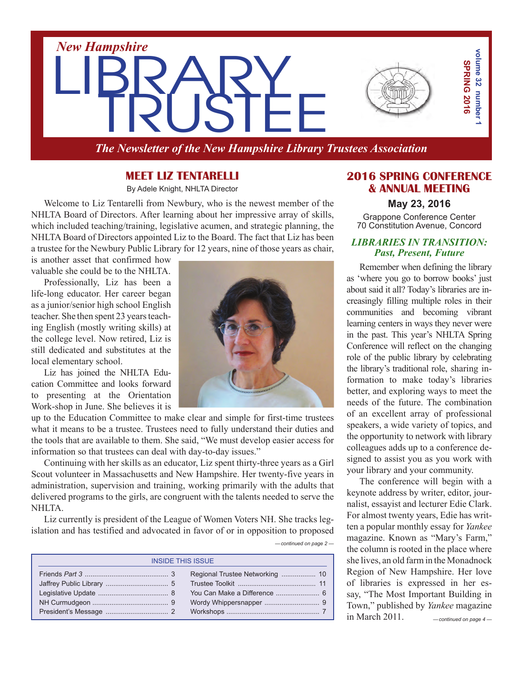

*The Newsletter of the New Hampshire Library Trustees Association*

## **Meet Liz Tentarelli**

By Adele Knight, NHLTA Director

Welcome to Liz Tentarelli from Newbury, who is the newest member of the NHLTA Board of Directors. After learning about her impressive array of skills, which included teaching/training, legislative acumen, and strategic planning, the NHLTA Board of Directors appointed Liz to the Board. The fact that Liz has been a trustee for the Newbury Public Library for 12 years, nine of those years as chair,

is another asset that confirmed how valuable she could be to the NHLTA.

Professionally, Liz has been a life-long educator. Her career began as a junior/senior high school English teacher. She then spent 23 years teaching English (mostly writing skills) at the college level. Now retired, Liz is still dedicated and substitutes at the local elementary school.

Liz has joined the NHLTA Education Committee and looks forward to presenting at the Orientation Work-shop in June. She believes it is

up to the Education Committee to make clear and simple for first-time trustees what it means to be a trustee. Trustees need to fully understand their duties and the tools that are available to them. She said, "We must develop easier access for information so that trustees can deal with day-to-day issues."

Continuing with her skills as an educator, Liz spent thirty-three years as a Girl Scout volunteer in Massachusetts and New Hampshire. Her twenty-five years in administration, supervision and training, working primarily with the adults that delivered programs to the girls, are congruent with the talents needed to serve the NHLTA.

Liz currently is president of the League of Women Voters NH. She tracks legislation and has testified and advocated in favor of or in opposition to proposed

| <b>INSIDE THIS ISSUE</b> |                                 |  |
|--------------------------|---------------------------------|--|
|                          | Regional Trustee Networking  10 |  |
|                          |                                 |  |
|                          |                                 |  |
|                          |                                 |  |
|                          |                                 |  |

## **2016 SPRING CONFERENCE & ANNUAL MEETING**

**May 23, 2016**

Grappone Conference Center 70 Constitution Avenue, Concord

#### *LIBRARIES IN TRANSITION: Past, Present, Future*

Remember when defining the library as 'where you go to borrow books' just about said it all? Today's libraries are increasingly filling multiple roles in their communities and becoming vibrant learning centers in ways they never were in the past. This year's NHLTA Spring Conference will reflect on the changing role of the public library by celebrating the library's traditional role, sharing information to make today's libraries better, and exploring ways to meet the needs of the future. The combination of an excellent array of professional speakers, a wide variety of topics, and the opportunity to network with library colleagues adds up to a conference designed to assist you as you work with your library and your community.

*—continued on page 4 —* The conference will begin with a keynote address by writer, editor, journalist, essayist and lecturer Edie Clark. For almost twenty years, Edie has written a popular monthly essay for *Yankee* magazine. Known as "Mary's Farm," the column is rooted in the place where she lives, an old farm in the Monadnock Region of New Hampshire. Her love of libraries is expressed in her essay, "The Most Important Building in Town," published by *Yankee* magazine in March 2011.

*—continued on page 2 —*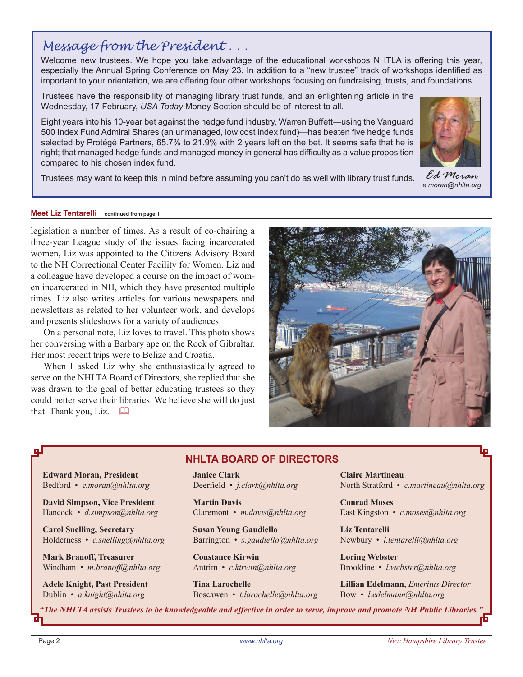# *Message from the President . . .*

Welcome new trustees. We hope you take advantage of the educational workshops NHTLA is offering this year, especially the Annual Spring Conference on May 23. In addition to a "new trustee" track of workshops identified as important to your orientation, we are offering four other workshops focusing on fundraising, trusts, and foundations.

Trustees have the responsibility of managing library trust funds, and an enlightening article in the Wednesday, 17 February, *USA Today* Money Section should be of interest to all.

Eight years into his 10-year bet against the hedge fund industry, Warren Buffett—using the Vanguard 500 Index Fund Admiral Shares (an unmanaged, low cost index fund)—has beaten five hedge funds selected by Protégé Partners, 65.7% to 21.9% with 2 years left on the bet. It seems safe that he is right; that managed hedge funds and managed money in general has difficulty as a value proposition compared to his chosen index fund.

Trustees may want to keep this in mind before assuming you can't do as well with library trust funds.

#### **Meet Liz Tentarelli continued from page 1**

legislation a number of times. As a result of co-chairing a three-year League study of the issues facing incarcerated women, Liz was appointed to the Citizens Advisory Board to the NH Correctional Center Facility for Women. Liz and a colleague have developed a course on the impact of women incarcerated in NH, which they have presented multiple times. Liz also writes articles for various newspapers and newsletters as related to her volunteer work, and develops and presents slideshows for a variety of audiences.

On a personal note, Liz loves to travel. This photo shows her conversing with a Barbary ape on the Rock of Gibraltar. Her most recent trips were to Belize and Croatia.

When I asked Liz why she enthusiastically agreed to serve on the NHLTA Board of Directors, she replied that she was drawn to the goal of better educating trustees so they could better serve their libraries. We believe she will do just that. Thank you, Liz.  $\Box$ 

### **NHLTA BOARD of directors**

**Edward Moran, President** Bedford • *e.moran@nhlta.org*

**David Simpson, Vice President** Hancock • *d.simpson@nhlta.org*

**Carol Snelling, Secretary** Holderness • *c.snelling@nhlta.org*

**Mark Branoff, Treasurer** Windham • *m.branoff@nhlta.org*

**Adele Knight, Past President** Dublin • *a.knight@nhlta.org*

**Janice Clark** Deerfield • *j.clark@nhlta.org*

**Martin Davis** Claremont • *m.davis@nhlta.org*

**Susan Young Gaudiello** Barrington • *s.gaudiello@nhlta.org*

**Constance Kirwin** Antrim • *c.kirwin@nhlta.org*

**Tina Larochelle** Boscawen • *t.larochelle@nhlta.org* **Claire Martineau** North Stratford • *c.martineau@nhlta.org*

**Conrad Moses** East Kingston • *c.moses@nhlta.org*

**Liz Tentarelli** Newbury • *l.tentarelli@nhlta.org* 

**Loring Webster** Brookline • *l.webster@nhlta.org*

**Lillian Edelmann**, *Emeritus Director* Bow • *l.edelmann@nhlta.org*

*"The NHLTA assists Trustees to be knowledgeable and effective in order to serve, improve and promote NH Public Libraries."*





*Ed Moran e.moran@nhlta.org*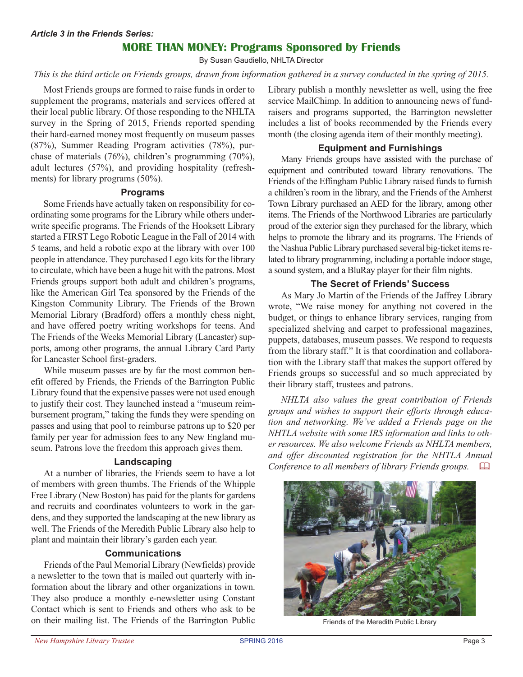## **more than money: Programs Sponsored by Friends**

By Susan Gaudiello, NHLTA Director

#### *This is the third article on Friends groups, drawn from information gathered in a survey conducted in the spring of 2015.*

Most Friends groups are formed to raise funds in order to supplement the programs, materials and services offered at their local public library. Of those responding to the NHLTA survey in the Spring of 2015, Friends reported spending their hard-earned money most frequently on museum passes (87%), Summer Reading Program activities (78%), purchase of materials (76%), children's programming (70%), adult lectures (57%), and providing hospitality (refreshments) for library programs (50%).

#### **Programs**

Some Friends have actually taken on responsibility for coordinating some programs for the Library while others underwrite specific programs. The Friends of the Hooksett Library started a FIRST Lego Robotic League in the Fall of 2014 with 5 teams, and held a robotic expo at the library with over 100 people in attendance. They purchased Lego kits for the library to circulate, which have been a huge hit with the patrons. Most Friends groups support both adult and children's programs, like the American Girl Tea sponsored by the Friends of the Kingston Community Library. The Friends of the Brown Memorial Library (Bradford) offers a monthly chess night, and have offered poetry writing workshops for teens. And The Friends of the Weeks Memorial Library (Lancaster) supports, among other programs, the annual Library Card Party for Lancaster School first-graders.

While museum passes are by far the most common benefit offered by Friends, the Friends of the Barrington Public Library found that the expensive passes were not used enough to justify their cost. They launched instead a "museum reimbursement program," taking the funds they were spending on passes and using that pool to reimburse patrons up to \$20 per family per year for admission fees to any New England museum. Patrons love the freedom this approach gives them.

#### **Landscaping**

At a number of libraries, the Friends seem to have a lot of members with green thumbs. The Friends of the Whipple Free Library (New Boston) has paid for the plants for gardens and recruits and coordinates volunteers to work in the gardens, and they supported the landscaping at the new library as well. The Friends of the Meredith Public Library also help to plant and maintain their library's garden each year.

## **Communications**

Friends of the Paul Memorial Library (Newfields) provide a newsletter to the town that is mailed out quarterly with information about the library and other organizations in town. They also produce a monthly e-newsletter using Constant Contact which is sent to Friends and others who ask to be on their mailing list. The Friends of the Barrington Public Library publish a monthly newsletter as well, using the free service MailChimp. In addition to announcing news of fundraisers and programs supported, the Barrington newsletter includes a list of books recommended by the Friends every month (the closing agenda item of their monthly meeting).

#### **Equipment and Furnishings**

Many Friends groups have assisted with the purchase of equipment and contributed toward library renovations. The Friends of the Effingham Public Library raised funds to furnish a children's room in the library, and the Friends of the Amherst Town Library purchased an AED for the library, among other items. The Friends of the Northwood Libraries are particularly proud of the exterior sign they purchased for the library, which helps to promote the library and its programs. The Friends of the Nashua Public Library purchased several big-ticket items related to library programming, including a portable indoor stage, a sound system, and a BluRay player for their film nights.

#### **The Secret of Friends' Success**

As Mary Jo Martin of the Friends of the Jaffrey Library wrote, "We raise money for anything not covered in the budget, or things to enhance library services, ranging from specialized shelving and carpet to professional magazines, puppets, databases, museum passes. We respond to requests from the library staff." It is that coordination and collaboration with the Library staff that makes the support offered by Friends groups so successful and so much appreciated by their library staff, trustees and patrons.

*NHLTA also values the great contribution of Friends groups and wishes to support their efforts through education and networking. We've added a Friends page on the NHTLA website with some IRS information and links to other resources. We also welcome Friends as NHLTA members, and offer discounted registration for the NHTLA Annual Conference to all members of library Friends groups.* &



Friends of the Meredith Public Library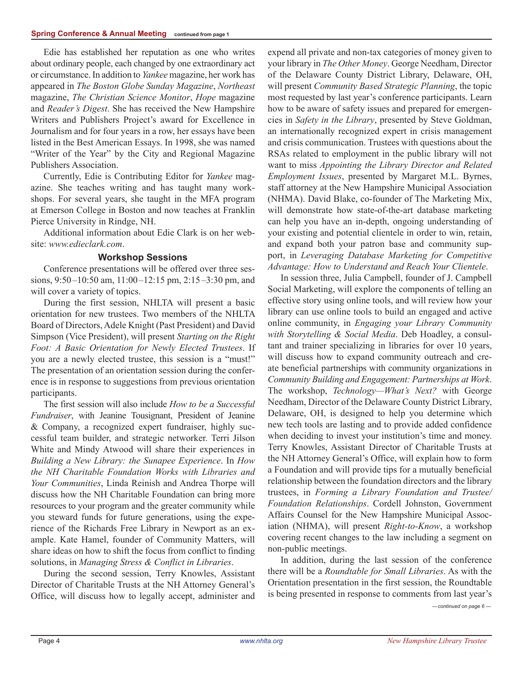Edie has established her reputation as one who writes about ordinary people, each changed by one extraordinary act or circumstance.In addition to *Yankee* magazine, her work has appeared in *The Boston Globe Sunday Magazine*, *Northeast* magazine, *The Christian Science Monitor*, *Hope* magazine and *Reader's Digest*. She has received the New Hampshire Writers and Publishers Project's award for Excellence in Journalism and for four years in a row, her essays have been listed in the Best American Essays. In 1998, she was named "Writer of the Year" by the City and Regional Magazine Publishers Association.

Currently, Edie is Contributing Editor for *Yankee* magazine. She teaches writing and has taught many workshops. For several years, she taught in the MFA program at Emerson College in Boston and now teaches at Franklin Pierce University in Rindge, NH.

Additional information about Edie Clark is on her website: *www.edieclark.com*.

### **Workshop Sessions**

Conference presentations will be offered over three sessions, 9:50–10:50 am, 11:00–12:15 pm, 2:15–3:30 pm, and will cover a variety of topics.

During the first session, NHLTA will present a basic orientation for new trustees. Two members of the NHLTA Board of Directors,Adele Knight (Past President) and David Simpson (Vice President), will present *Starting on the Right Foot: A Basic Orientation for Newly Elected Trustees*. If you are a newly elected trustee, this session is a "must!" The presentation of an orientation session during the conference is in response to suggestions from previous orientation participants.

The first session will also include *How to be a Successful Fundraiser*, with Jeanine Tousignant, President of Jeanine & Company, a recognized expert fundraiser, highly successful team builder, and strategic networker. Terri Jilson White and Mindy Atwood will share their experiences in *Building a New Library: the Sunapee Experience*. In *How the NH Charitable Foundation Works with Libraries and Your Communities*, Linda Reinish and Andrea Thorpe will discuss how the NH Charitable Foundation can bring more resources to your program and the greater community while you steward funds for future generations, using the experience of the Richards Free Library in Newport as an example. Kate Hamel, founder of Community Matters, will share ideas on how to shift the focus from conflict to finding solutions, in *Managing Stress & Conflict in Libraries*.

During the second session, Terry Knowles, Assistant Director of Charitable Trusts at the NH Attorney General's Office, will discuss how to legally accept, administer and

expend all private and non-tax categories of money given to your library in *The Other Money*. George Needham, Director of the Delaware County District Library, Delaware, OH, will present *Community Based Strategic Planning*, the topic most requested by last year's conference participants. Learn how to be aware of safety issues and prepared for emergencies in *Safety in the Library*, presented by Steve Goldman, an internationally recognized expert in crisis management and crisis communication. Trustees with questions about the RSAs related to employment in the public library will not want to miss *Appointing the Library Director and Related Employment Issues*, presented by Margaret M.L. Byrnes, staff attorney at the New Hampshire Municipal Association (NHMA). David Blake, co-founder of The Marketing Mix, will demonstrate how state-of-the-art database marketing can help you have an in-depth, ongoing understanding of your existing and potential clientele in order to win, retain, and expand both your patron base and community support, in *Leveraging Database Marketing for Competitive Advantage: How to Understand and Reach Your Clientele*.

In session three, Julia Campbell, founder of J. Campbell Social Marketing, will explore the components of telling an effective story using online tools, and will review how your library can use online tools to build an engaged and active online community, in *Engaging your Library Community with Storytelling & Social Media*. Deb Hoadley, a consultant and trainer specializing in libraries for over 10 years, will discuss how to expand community outreach and create beneficial partnerships with community organizations in *Community Building and Engagement: Partnerships at Work*. The workshop, *Technology—What's Next?* with George Needham, Director of the Delaware County District Library, Delaware, OH, is designed to help you determine which new tech tools are lasting and to provide added confidence when deciding to invest your institution's time and money. Terry Knowles, Assistant Director of Charitable Trusts at the NH Attorney General's Office, will explain how to form a Foundation and will provide tips for a mutually beneficial relationship between the foundation directors and the library trustees, in *Forming a Library Foundation and Trustee/ Foundation Relationships*. Cordell Johnston, Government Affairs Counsel for the New Hampshire Municipal Association (NHMA), will present *Right-to-Know*, a workshop covering recent changes to the law including a segment on non-public meetings.

In addition, during the last session of the conference there will be a *Roundtable for Small Libraries*. As with the Orientation presentation in the first session, the Roundtable is being presented in response to comments from last year's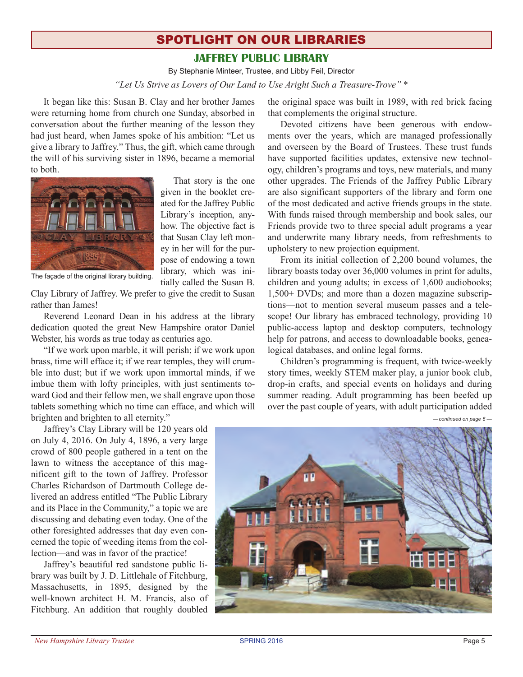# spotlight on our libraries **jaffrey public library**

By Stephanie Minteer, Trustee, and Libby Feil, Director *"Let Us Strive as Lovers of Our Land to Use Aright Such a Treasure-Trove"* \*

It began like this: Susan B. Clay and her brother James were returning home from church one Sunday, absorbed in conversation about the further meaning of the lesson they had just heard, when James spoke of his ambition: "Let us give a library to Jaffrey." Thus, the gift, which came through the will of his surviving sister in 1896, became a memorial to both.



That story is the one given in the booklet created for the Jaffrey Public Library's inception, anyhow. The objective fact is that Susan Clay left money in her will for the purpose of endowing a town library, which was initially called the Susan B.

The façade of the original library building.

Clay Library of Jaffrey. We prefer to give the credit to Susan rather than James!

Reverend Leonard Dean in his address at the library dedication quoted the great New Hampshire orator Daniel Webster, his words as true today as centuries ago.

"If we work upon marble, it will perish; if we work upon brass, time will efface it; if we rear temples, they will crumble into dust; but if we work upon immortal minds, if we imbue them with lofty principles, with just sentiments toward God and their fellow men, we shall engrave upon those tablets something which no time can efface, and which will brighten and brighten to all eternity."

Jaffrey's Clay Library will be 120 years old on July 4, 2016. On July 4, 1896, a very large crowd of 800 people gathered in a tent on the lawn to witness the acceptance of this magnificent gift to the town of Jaffrey. Professor Charles Richardson of Dartmouth College delivered an address entitled "The Public Library and its Place in the Community," a topic we are discussing and debating even today. One of the other foresighted addresses that day even concerned the topic of weeding items from the collection—and was in favor of the practice!

Jaffrey's beautiful red sandstone public library was built by J. D. Littlehale of Fitchburg, Massachusetts, in 1895, designed by the well-known architect H. M. Francis, also of Fitchburg. An addition that roughly doubled

the original space was built in 1989, with red brick facing that complements the original structure.

Devoted citizens have been generous with endowments over the years, which are managed professionally and overseen by the Board of Trustees. These trust funds have supported facilities updates, extensive new technology, children's programs and toys, new materials, and many other upgrades. The Friends of the Jaffrey Public Library are also significant supporters of the library and form one of the most dedicated and active friends groups in the state. With funds raised through membership and book sales, our Friends provide two to three special adult programs a year and underwrite many library needs, from refreshments to upholstery to new projection equipment.

From its initial collection of 2,200 bound volumes, the library boasts today over 36,000 volumes in print for adults, children and young adults; in excess of 1,600 audiobooks; 1,500+ DVDs; and more than a dozen magazine subscriptions—not to mention several museum passes and a telescope! Our library has embraced technology, providing 10 public-access laptop and desktop computers, technology help for patrons, and access to downloadable books, genealogical databases, and online legal forms.

Children's programming is frequent, with twice-weekly story times, weekly STEM maker play, a junior book club, drop-in crafts, and special events on holidays and during summer reading. Adult programming has been beefed up over the past couple of years, with adult participation added

*—continued on page 6 —*

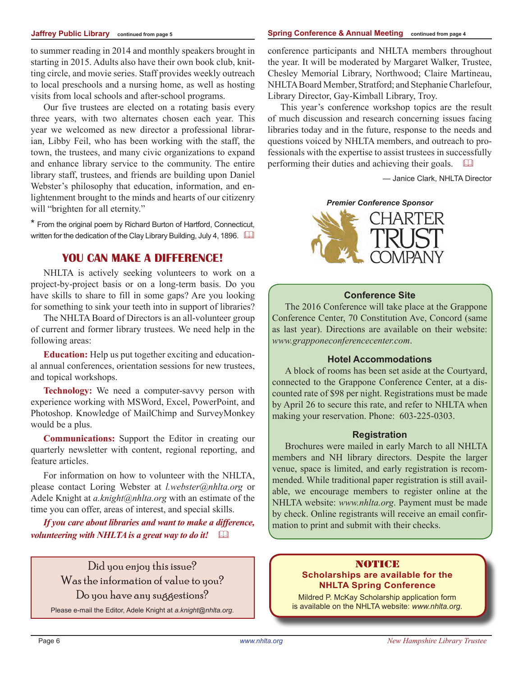#### **Jaffrey Public Library continued from page 5**

to summer reading in 2014 and monthly speakers brought in starting in 2015. Adults also have their own book club, knitting circle, and movie series. Staff provides weekly outreach to local preschools and a nursing home, as well as hosting visits from local schools and after-school programs.

Our five trustees are elected on a rotating basis every three years, with two alternates chosen each year. This year we welcomed as new director a professional librarian, Libby Feil, who has been working with the staff, the town, the trustees, and many civic organizations to expand and enhance library service to the community. The entire library staff, trustees, and friends are building upon Daniel Webster's philosophy that education, information, and enlightenment brought to the minds and hearts of our citizenry will "brighten for all eternity."

\* From the original poem by Richard Burton of Hartford, Connecticut, written for the dedication of the Clay Library Building, July 4, 1896.

## **You Can Make a Difference!**

NHLTA is actively seeking volunteers to work on a project-by-project basis or on a long-term basis. Do you have skills to share to fill in some gaps? Are you looking for something to sink your teeth into in support of libraries?

The NHLTA Board of Directors is an all-volunteer group of current and former library trustees. We need help in the following areas:

**Education:** Help us put together exciting and educational annual conferences, orientation sessions for new trustees, and topical workshops.

**Technology:** We need a computer-savvy person with experience working with MSWord, Excel, PowerPoint, and Photoshop. Knowledge of MailChimp and SurveyMonkey would be a plus.

**Communications:** Support the Editor in creating our quarterly newsletter with content, regional reporting, and feature articles.

For information on how to volunteer with the NHLTA, please contact Loring Webster at *l.webster@nhlta.org* or Adele Knight at *a.knight@nhlta.org* with an estimate of the time you can offer, areas of interest, and special skills.

*If you care about libraries and want to make a difference, volunteering with NHLTA is a great way to do it!* 

> Did you enjoy this issue? Was the information of value to you? Do you have any suggestions?

Please e-mail the Editor, Adele Knight at *a.knight@nhlta.org*.

conference participants and NHLTA members throughout the year. It will be moderated by Margaret Walker, Trustee, Chesley Memorial Library, Northwood; Claire Martineau, NHLTABoard Member, Stratford; and StephanieCharlefour, Library Director, Gay-Kimball Library, Troy.

This year's conference workshop topics are the result of much discussion and research concerning issues facing libraries today and in the future, response to the needs and questions voiced by NHLTA members, and outreach to professionals with the expertise to assist trustees in successfully performing their duties and achieving their goals.  $\Box$ 

— Janice Clark, NHLTA Director

#### *Premier Conference Sponsor*



#### **Conference Site**

The 2016 Conference will take place at the Grappone Conference Center, 70 Constitution Ave, Concord (same as last year). Directions are available on their website: *www.grapponeconferencecenter.com*.

#### **Hotel Accommodations**

A block of rooms has been set aside at the Courtyard, connected to the Grappone Conference Center, at a discounted rate of \$98 per night. Registrations must be made by April 26 to secure this rate, and refer to NHLTA when making your reservation. Phone: 603-225-0303.

#### **Registration**

Brochures were mailed in early March to all NHLTA members and NH library directors. Despite the larger venue, space is limited, and early registration is recommended. While traditional paper registration is still available, we encourage members to register online at the NHLTA website: *www.nhlta.org*. Payment must be made by check. Online registrants will receive an email confirmation to print and submit with their checks.

#### NOTICE **Scholarships are available for the NHLTA Spring Conference**

Mildred P. McKay Scholarship application form is available on the NHLTA website: *www.nhlta.org*.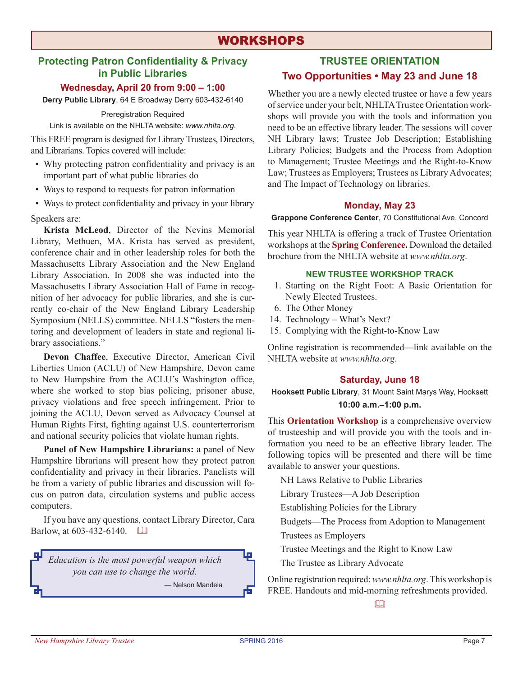# **WORKSHOPS**

## **Protecting Patron Confidentiality & Privacy in Public Libraries**

#### **Wednesday, April 20 from 9:00 – 1:00**

**Derry Public Library**, 64 E Broadway Derry 603-432-6140

Preregistration Required

Link is available on the NHLTA website: *www.nhlta.org*.

This FREE program is designed for Library Trustees, Directors, and Librarians. Topics covered will include:

- Why protecting patron confidentiality and privacy is an important part of what public libraries do
- Ways to respond to requests for patron information
- Ways to protect confidentiality and privacy in your library

Speakers are:

**Krista McLeod**, Director of the Nevins Memorial Library, Methuen, MA. Krista has served as president, conference chair and in other leadership roles for both the Massachusetts Library Association and the New England Library Association. In 2008 she was inducted into the Massachusetts Library Association Hall of Fame in recognition of her advocacy for public libraries, and she is currently co-chair of the New England Library Leadership Symposium (NELLS) committee. NELLS "fosters the mentoring and development of leaders in state and regional library associations."

**Devon Chaffee**, Executive Director, American Civil Liberties Union (ACLU) of New Hampshire, Devon came to New Hampshire from the ACLU's Washington office, where she worked to stop bias policing, prisoner abuse, privacy violations and free speech infringement. Prior to joining the ACLU, Devon served as Advocacy Counsel at Human Rights First, fighting against U.S. counterterrorism and national security policies that violate human rights.

**Panel of New Hampshire Librarians:** a panel of New Hampshire librarians will present how they protect patron confidentiality and privacy in their libraries. Panelists will be from a variety of public libraries and discussion will focus on patron data, circulation systems and public access computers.

If you have any questions, contact Library Director, Cara Barlow, at 603-432-6140.  $\Box$ 

*Education is the most powerful weapon which you can use to change the world.* — Nelson Mandela

## **TRUSTEE ORIENTATION Two Opportunities • May 23 and June 18**

Whether you are a newly elected trustee or have a few years ofservice under your belt, NHLTATrustee Orientation workshops will provide you with the tools and information you need to be an effective library leader. The sessions will cover NH Library laws; Trustee Job Description; Establishing Library Policies; Budgets and the Process from Adoption to Management; Trustee Meetings and the Right-to-Know Law; Trustees as Employers; Trustees as Library Advocates; and The Impact of Technology on libraries.

#### **Monday, May 23**

**Grappone Conference Center**, 70 Constitutional Ave, Concord

This year NHLTA is offering a track of Trustee Orientation workshops at the **Spring Conference.** Download the detailed brochure from the NHLTA website at *www.nhlta.org*.

#### **NEW TRUSTEE workshop TRACK**

- 1. Starting on the Right Foot: A Basic Orientation for Newly Elected Trustees.
- 6. The Other Money
- 14. Technology What's Next?
- 15. Complying with the Right-to-Know Law

Online registration is recommended—link available on the NHLTA website at *www.nhlta.org*.

#### **Saturday, June 18**

**Hooksett Public Library**, 31 Mount Saint Marys Way, Hooksett **10:00 a.m.–1:00 p.m.**

This **Orientation Workshop** is a comprehensive overview of trusteeship and will provide you with the tools and information you need to be an effective library leader. The following topics will be presented and there will be time available to answer your questions.

NH Laws Relative to Public Libraries

Library Trustees—A Job Description

Establishing Policies for the Library

Budgets—The Process from Adoption to Management

Trustees as Employers

Trustee Meetings and the Right to Know Law

The Trustee as Library Advocate

Online registration required:*www.nhlta.org*.This workshop is FREE. Handouts and mid-morning refreshments provided.

 $\Box$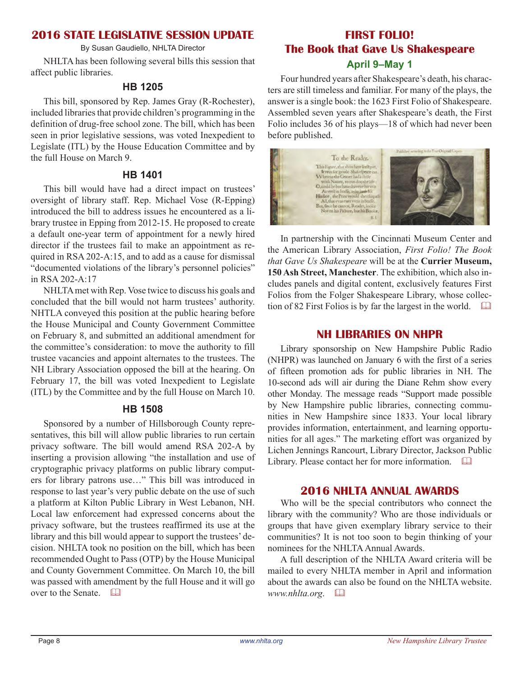## **2016 STATE LEGISLATIVE SESSION UPDATE**

By Susan Gaudiello, NHLTA Director

NHLTA has been following several bills this session that affect public libraries.

## **HB 1205**

This bill, sponsored by Rep. James Gray (R-Rochester), included libraries that provide children's programming in the definition of drug-free school zone. The bill, which has been seen in prior legislative sessions, was voted Inexpedient to Legislate (ITL) by the House Education Committee and by the full House on March 9.

## **HB 1401**

This bill would have had a direct impact on trustees' oversight of library staff. Rep. Michael Vose (R-Epping) introduced the bill to address issues he encountered as a library trustee in Epping from 2012-15. He proposed to create a default one-year term of appointment for a newly hired director if the trustees fail to make an appointment as required in RSA 202-A:15, and to add as a cause for dismissal "documented violations of the library's personnel policies" in RSA 202-A:17

NHLTAmet with Rep. Vose twice to discuss his goals and concluded that the bill would not harm trustees' authority. NHTLA conveyed this position at the public hearing before the House Municipal and County Government Committee on February 8, and submitted an additional amendment for the committee's consideration: to move the authority to fill trustee vacancies and appoint alternates to the trustees. The NH Library Association opposed the bill at the hearing. On February 17, the bill was voted Inexpedient to Legislate (ITL) by the Committee and by the full House on March 10.

## **HB 1508**

Sponsored by a number of Hillsborough County representatives, this bill will allow public libraries to run certain privacy software. The bill would amend RSA 202-A by inserting a provision allowing "the installation and use of cryptographic privacy platforms on public library computers for library patrons use…" This bill was introduced in response to last year's very public debate on the use of such a platform at Kilton Public Library in West Lebanon, NH. Local law enforcement had expressed concerns about the privacy software, but the trustees reaffirmed its use at the library and this bill would appear to support the trustees' decision. NHLTA took no position on the bill, which has been recommended Ought to Pass (OTP) by the House Municipal and County Government Committee. On March 10, the bill was passed with amendment by the full House and it will go over to the Senate.  $\Box$ 

## **First Folio! The Book that Gave Us Shakespeare April 9–May 1**

Four hundred years after Shakespeare's death, his characters are still timeless and familiar. For many of the plays, the answer is a single book: the 1623 First Folio of Shakespeare. Assembled seven years after Shakespeare's death, the First Folio includes 36 of his plays—18 of which had never been before published.



In partnership with the Cincinnati Museum Center and the American Library Association, *First Folio! The Book that Gave Us Shakespeare* will be at the **Currier Museum, 150 Ash Street, Manchester**. The exhibition, which also includes panels and digital content, exclusively features First Folios from the Folger Shakespeare Library, whose collection of 82 First Folios is by far the largest in the world.  $\Box$ 

## **NH Libraries on NHPR**

Library sponsorship on New Hampshire Public Radio (NHPR) was launched on January 6 with the first of a series of fifteen promotion ads for public libraries in NH. The 10-second ads will air during the Diane Rehm show every other Monday. The message reads "Support made possible by New Hampshire public libraries, connecting communities in New Hampshire since 1833. Your local library provides information, entertainment, and learning opportunities for all ages." The marketing effort was organized by Lichen Jennings Rancourt, Library Director, Jackson Public Library. Please contact her for more information.  $\Box$ 

## **2016 NHLTA ANNUAL AWARDS**

Who will be the special contributors who connect the library with the community? Who are those individuals or groups that have given exemplary library service to their communities? It is not too soon to begin thinking of your nominees for the NHLTA Annual Awards.

A full description of the NHLTA Award criteria will be mailed to every NHLTA member in April and information about the awards can also be found on the NHLTA website. *www.nhlta.org.*  $\Box$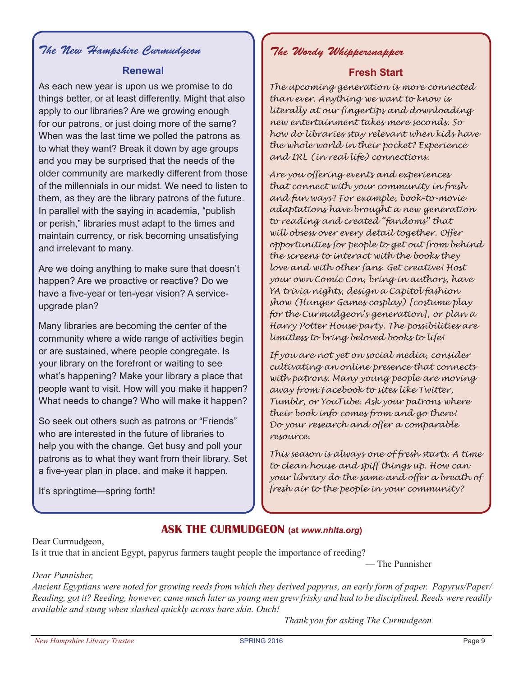# *The New Hampshire Curmudgeon The Wordy Whippersnapper*

## **Renewal**

As each new year is upon us we promise to do things better, or at least differently. Might that also apply to our libraries? Are we growing enough for our patrons, or just doing more of the same? When was the last time we polled the patrons as to what they want? Break it down by age groups and you may be surprised that the needs of the older community are markedly different from those of the millennials in our midst. We need to listen to them, as they are the library patrons of the future. In parallel with the saying in academia, "publish or perish," libraries must adapt to the times and maintain currency, or risk becoming unsatisfying and irrelevant to many.

Are we doing anything to make sure that doesn't happen? Are we proactive or reactive? Do we have a five-year or ten-year vision? A serviceupgrade plan?

Many libraries are becoming the center of the community where a wide range of activities begin or are sustained, where people congregate. Is your library on the forefront or waiting to see what's happening? Make your library a place that people want to visit. How will you make it happen? What needs to change? Who will make it happen?

So seek out others such as patrons or "Friends" who are interested in the future of libraries to help you with the change. Get busy and poll your patrons as to what they want from their library. Set a five-year plan in place, and make it happen.

It's springtime—spring forth!

## **Fresh Start**

*The upcoming generation is more connected than ever. Anything we want to know is literally at our fingertips and downloading new entertainment takes mere seconds. So how do libraries stay relevant when kids have the whole world in their pocket? Experience and IRL (in real life) connections.*

*Are you offering events and experiences that connect with your community in fresh and fun ways? For example, book-to-movie adaptations have brought a new generation to reading and created "fandoms" that will obsess over every detail together. Offer opportunities for people to get out from behind the screens to interact with the books they love and with other fans. Get creative! Host your own Comic Con, bring in authors, have YA trivia nights, design a Capitol fashion show (Hunger Games cosplay) [costume play for the Curmudgeon's generation], or plan a Harry Potter House party. The possibilities are limitless to bring beloved books to life!*

*If you are not yet on social media, consider cultivating an online presence that connects with patrons. Many young people are moving away from Facebook to sites like Twitter, Tumblr, or YouTube. Ask your patrons where their book info comes from and go there! Do your research and offer a comparable resource.*

*This season is always one of fresh starts. A time to clean house and spiff things up. How can your library do the same and offer a breath of fresh air to the people in your community?*

— The Punnisher

## **Ask the curmudgeon (at** *www.nhlta.org***)**

Dear Curmudgeon,

Is it true that in ancient Egypt, papyrus farmers taught people the importance of reeding?

### *Dear Punnisher,*

*Ancient Egyptians were noted for growing reeds from which they derived papyrus, an early form of paper. Papyrus/Paper/ Reading, got it? Reeding, however, came much later as young men grew frisky and had to be disciplined. Reeds were readily available and stung when slashed quickly across bare skin. Ouch!*

*Thank you for asking The Curmudgeon*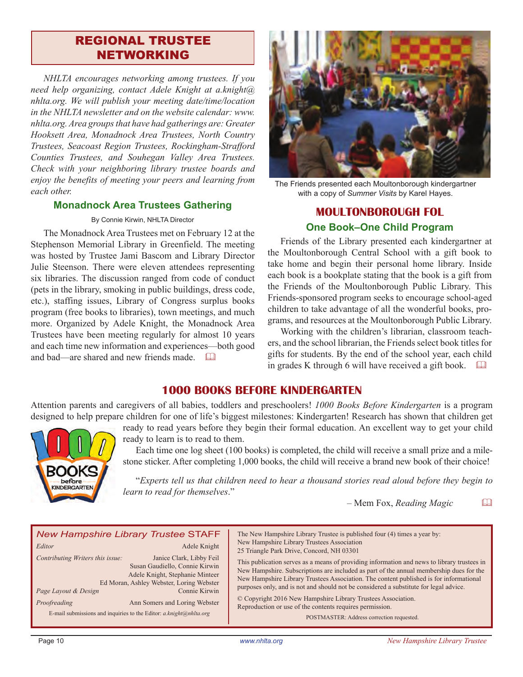# regional trustee networking

*NHLTA encourages networking among trustees. If you need help organizing, contact Adele Knight at a.knight@ nhlta.org. We will publish your meeting date/time/location in the NHLTA newsletter and on the website calendar: www. nhlta.org. Area groups that have had gatherings are: Greater Hooksett Area, Monadnock Area Trustees, North Country Trustees, Seacoast Region Trustees, Rockingham-Strafford Counties Trustees, and Souhegan Valley Area Trustees. Check with your neighboring library trustee boards and enjoy the benefits of meeting your peers and learning from each other.*

#### **Monadnock Area Trustees Gathering**

#### By Connie Kirwin, NHLTA Director

The Monadnock Area Trustees met on February 12 at the Stephenson Memorial Library in Greenfield. The meeting was hosted by Trustee Jami Bascom and Library Director Julie Steenson. There were eleven attendees representing six libraries. The discussion ranged from code of conduct (pets in the library, smoking in public buildings, dress code, etc.), staffing issues, Library of Congress surplus books program (free books to libraries), town meetings, and much more. Organized by Adele Knight, the Monadnock Area Trustees have been meeting regularly for almost 10 years and each time new information and experiences—both good and bad—are shared and new friends made.  $\Box$ 



The Friends presented each Moultonborough kindergartner with a copy of *Summer Visits* by Karel Hayes.

## **Moultonborough FOL One Book–One Child Program**

Friends of the Library presented each kindergartner at the Moultonborough Central School with a gift book to take home and begin their personal home library. Inside each book is a bookplate stating that the book is a gift from the Friends of the Moultonborough Public Library. This Friends-sponsored program seeks to encourage school-aged children to take advantage of all the wonderful books, programs, and resources at the Moultonborough Public Library.

Working with the children's librarian, classroom teachers, and the school librarian, the Friends select book titles for gifts for students. By the end of the school year, each child in grades K through 6 will have received a gift book.  $\square$ 

## **1000 Books Before Kindergarten**

Attention parents and caregivers of all babies, toddlers and preschoolers! *1000 Books Before Kindergarten* is a program designed to help prepare children for one of life's biggest milestones: Kindergarten! Research has shown that children get



ready to read years before they begin their formal education. An excellent way to get your child ready to learn is to read to them.

Each time one log sheet (100 books) is completed, the child will receive a small prize and a milestone sticker. After completing 1,000 books, the child will receive a brand new book of their choice!

"*Experts tell us that children need to hear a thousand stories read aloud before they begin to learn to read for themselves*."

 $-$  Mem Fox, *Reading Magic*  $\qquad \Box$ 

| <b>New Hampshire Library Trustee STAFF</b><br>Adele Knight<br>Editor<br>Contributing Writers this issue:<br>Janice Clark, Libby Feil<br>Susan Gaudiello, Connie Kirwin<br>Adele Knight, Stephanie Minteer<br>Ed Moran, Ashley Webster, Loring Webster<br>Connie Kirwin<br>Page Layout & Design<br>Ann Somers and Loring Webster<br>Proofreading<br>E-mail submissions and inquiries to the Editor: $a.knight@nhlta.org$ | The New Hampshire Library Trustee is published four (4) times a year by:<br>New Hampshire Library Trustees Association<br>25 Triangle Park Drive, Concord, NH 03301<br>This publication serves as a means of providing information and news to library trustees in<br>New Hampshire. Subscriptions are included as part of the annual membership dues for the<br>New Hampshire Library Trustees Association. The content published is for informational<br>purposes only, and is not and should not be considered a substitute for legal advice.<br>© Copyright 2016 New Hampshire Library Trustees Association.<br>Reproduction or use of the contents requires permission.<br>POSTMASTER: Address correction requested. |
|-------------------------------------------------------------------------------------------------------------------------------------------------------------------------------------------------------------------------------------------------------------------------------------------------------------------------------------------------------------------------------------------------------------------------|---------------------------------------------------------------------------------------------------------------------------------------------------------------------------------------------------------------------------------------------------------------------------------------------------------------------------------------------------------------------------------------------------------------------------------------------------------------------------------------------------------------------------------------------------------------------------------------------------------------------------------------------------------------------------------------------------------------------------|
|-------------------------------------------------------------------------------------------------------------------------------------------------------------------------------------------------------------------------------------------------------------------------------------------------------------------------------------------------------------------------------------------------------------------------|---------------------------------------------------------------------------------------------------------------------------------------------------------------------------------------------------------------------------------------------------------------------------------------------------------------------------------------------------------------------------------------------------------------------------------------------------------------------------------------------------------------------------------------------------------------------------------------------------------------------------------------------------------------------------------------------------------------------------|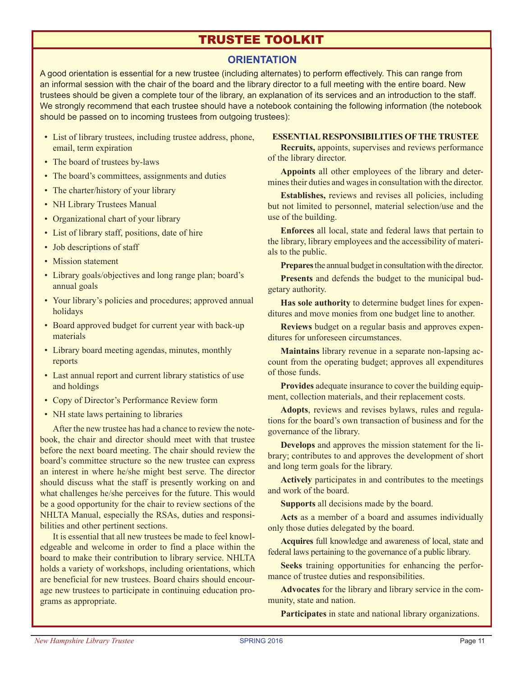# trustee toolkit

## **ORIENTATION**

A good orientation is essential for a new trustee (including alternates) to perform effectively. This can range from an informal session with the chair of the board and the library director to a full meeting with the entire board. New trustees should be given a complete tour of the library, an explanation of its services and an introduction to the staff. We strongly recommend that each trustee should have a notebook containing the following information (the notebook should be passed on to incoming trustees from outgoing trustees):

- List of library trustees, including trustee address, phone, email, term expiration
- The board of trustees by-laws
- The board's committees, assignments and duties
- The charter/history of your library
- NH Library Trustees Manual
- Organizational chart of your library
- List of library staff, positions, date of hire
- Job descriptions of staff
- Mission statement
- Library goals/objectives and long range plan; board's annual goals
- Your library's policies and procedures; approved annual holidays
- Board approved budget for current year with back-up materials
- Library board meeting agendas, minutes, monthly reports
- Last annual report and current library statistics of use and holdings
- Copy of Director's Performance Review form
- NH state laws pertaining to libraries

After the new trustee has had a chance to review the notebook, the chair and director should meet with that trustee before the next board meeting. The chair should review the board's committee structure so the new trustee can express an interest in where he/she might best serve. The director should discuss what the staff is presently working on and what challenges he/she perceives for the future. This would be a good opportunity for the chair to review sections of the NHLTA Manual, especially the RSAs, duties and responsibilities and other pertinent sections.

It is essential that all new trustees be made to feel knowledgeable and welcome in order to find a place within the board to make their contribution to library service. NHLTA holds a variety of workshops, including orientations, which are beneficial for new trustees. Board chairs should encourage new trustees to participate in continuing education programs as appropriate.

#### **ESSENTIAL RESPONSIBILITIES OF THE TRUSTEE**

**Recruits,** appoints, supervises and reviews performance of the library director.

**Appoints** all other employees of the library and determines their duties and wages in consultation with the director.

**Establishes,** reviews and revises all policies, including but not limited to personnel, material selection/use and the use of the building.

**Enforces** all local, state and federal laws that pertain to the library, library employees and the accessibility of materials to the public.

**Prepares** the annual budget in consultation with the director.

**Presents** and defends the budget to the municipal budgetary authority.

**Has sole authority** to determine budget lines for expenditures and move monies from one budget line to another.

**Reviews** budget on a regular basis and approves expenditures for unforeseen circumstances.

**Maintains** library revenue in a separate non-lapsing account from the operating budget; approves all expenditures of those funds.

**Provides** adequate insurance to cover the building equipment, collection materials, and their replacement costs.

**Adopts**, reviews and revises bylaws, rules and regulations for the board's own transaction of business and for the governance of the library.

**Develops** and approves the mission statement for the library; contributes to and approves the development of short and long term goals for the library.

**Actively** participates in and contributes to the meetings and work of the board.

**Supports** all decisions made by the board.

**Acts** as a member of a board and assumes individually only those duties delegated by the board.

**Acquires** full knowledge and awareness of local, state and federal laws pertaining to the governance of a public library.

**Seeks** training opportunities for enhancing the performance of trustee duties and responsibilities.

**Advocates** for the library and library service in the community, state and nation.

**Participates** in state and national library organizations.